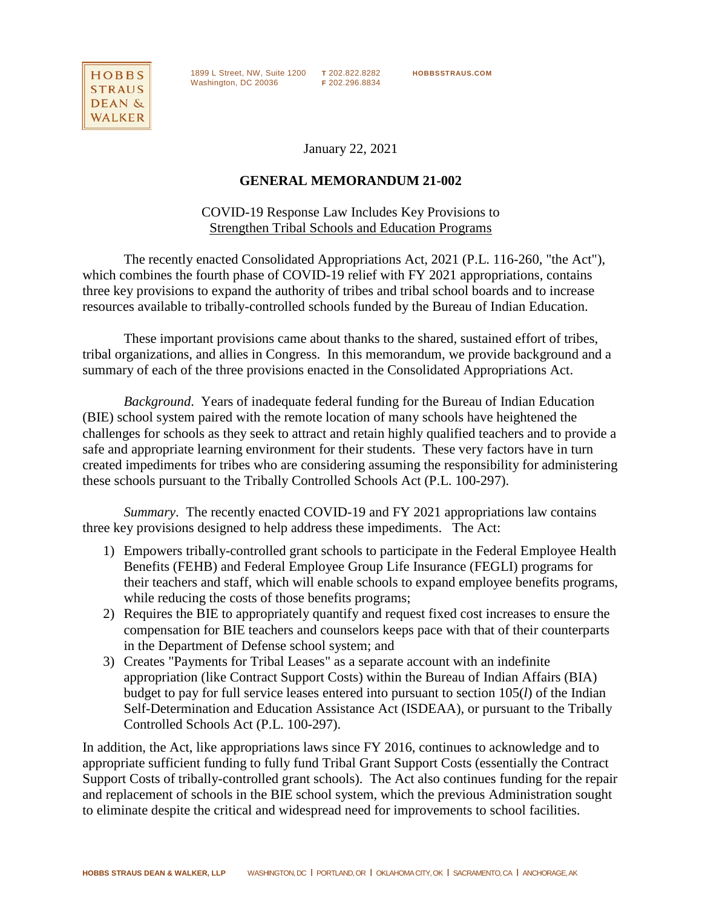

1899 L Street, NW, Suite 1200 **T** 202.822.8282 **HOBBSSTRAUS.COM** Washington, DC 20036 **F** 202.296.8834

January 22, 2021

## **GENERAL MEMORANDUM 21-002**

# COVID-19 Response Law Includes Key Provisions to Strengthen Tribal Schools and Education Programs

The recently enacted Consolidated Appropriations Act, 2021 (P.L. 116-260, "the Act"), which combines the fourth phase of COVID-19 relief with FY 2021 appropriations, contains three key provisions to expand the authority of tribes and tribal school boards and to increase resources available to tribally-controlled schools funded by the Bureau of Indian Education.

These important provisions came about thanks to the shared, sustained effort of tribes, tribal organizations, and allies in Congress. In this memorandum, we provide background and a summary of each of the three provisions enacted in the Consolidated Appropriations Act.

*Background*. Years of inadequate federal funding for the Bureau of Indian Education (BIE) school system paired with the remote location of many schools have heightened the challenges for schools as they seek to attract and retain highly qualified teachers and to provide a safe and appropriate learning environment for their students. These very factors have in turn created impediments for tribes who are considering assuming the responsibility for administering these schools pursuant to the Tribally Controlled Schools Act (P.L. 100-297).

*Summary*. The recently enacted COVID-19 and FY 2021 appropriations law contains three key provisions designed to help address these impediments. The Act:

- 1) Empowers tribally-controlled grant schools to participate in the Federal Employee Health Benefits (FEHB) and Federal Employee Group Life Insurance (FEGLI) programs for their teachers and staff, which will enable schools to expand employee benefits programs, while reducing the costs of those benefits programs;
- 2) Requires the BIE to appropriately quantify and request fixed cost increases to ensure the compensation for BIE teachers and counselors keeps pace with that of their counterparts in the Department of Defense school system; and
- 3) Creates "Payments for Tribal Leases" as a separate account with an indefinite appropriation (like Contract Support Costs) within the Bureau of Indian Affairs (BIA) budget to pay for full service leases entered into pursuant to section 105(*l*) of the Indian Self-Determination and Education Assistance Act (ISDEAA), or pursuant to the Tribally Controlled Schools Act (P.L. 100-297).

In addition, the Act, like appropriations laws since FY 2016, continues to acknowledge and to appropriate sufficient funding to fully fund Tribal Grant Support Costs (essentially the Contract Support Costs of tribally-controlled grant schools). The Act also continues funding for the repair and replacement of schools in the BIE school system, which the previous Administration sought to eliminate despite the critical and widespread need for improvements to school facilities.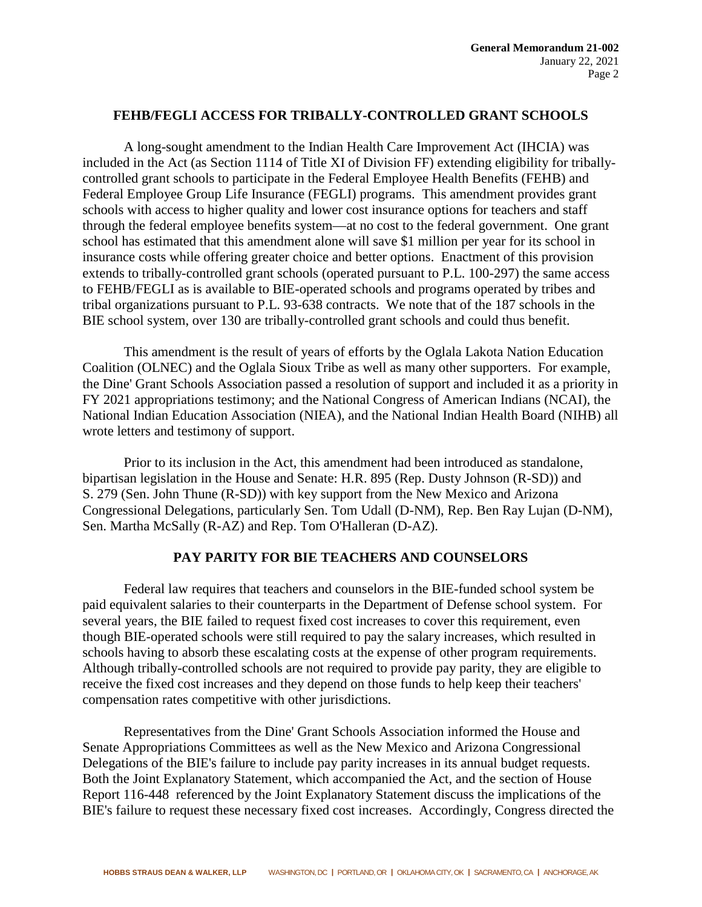## **FEHB/FEGLI ACCESS FOR TRIBALLY-CONTROLLED GRANT SCHOOLS**

A long-sought amendment to the Indian Health Care Improvement Act (IHCIA) was included in the Act (as Section 1114 of Title XI of Division FF) extending eligibility for triballycontrolled grant schools to participate in the Federal Employee Health Benefits (FEHB) and Federal Employee Group Life Insurance (FEGLI) programs. This amendment provides grant schools with access to higher quality and lower cost insurance options for teachers and staff through the federal employee benefits system—at no cost to the federal government. One grant school has estimated that this amendment alone will save \$1 million per year for its school in insurance costs while offering greater choice and better options. Enactment of this provision extends to tribally-controlled grant schools (operated pursuant to P.L. 100-297) the same access to FEHB/FEGLI as is available to BIE-operated schools and programs operated by tribes and tribal organizations pursuant to P.L. 93-638 contracts. We note that of the 187 schools in the BIE school system, over 130 are tribally-controlled grant schools and could thus benefit.

This amendment is the result of years of efforts by the Oglala Lakota Nation Education Coalition (OLNEC) and the Oglala Sioux Tribe as well as many other supporters. For example, the Dine' Grant Schools Association passed a resolution of support and included it as a priority in FY 2021 appropriations testimony; and the National Congress of American Indians (NCAI), the National Indian Education Association (NIEA), and the National Indian Health Board (NIHB) all wrote letters and testimony of support.

Prior to its inclusion in the Act, this amendment had been introduced as standalone, bipartisan legislation in the House and Senate: H.R. 895 (Rep. Dusty Johnson (R-SD)) and S. 279 (Sen. John Thune (R-SD)) with key support from the New Mexico and Arizona Congressional Delegations, particularly Sen. Tom Udall (D-NM), Rep. Ben Ray Lujan (D-NM), Sen. Martha McSally (R-AZ) and Rep. Tom O'Halleran (D-AZ).

# **PAY PARITY FOR BIE TEACHERS AND COUNSELORS**

Federal law requires that teachers and counselors in the BIE-funded school system be paid equivalent salaries to their counterparts in the Department of Defense school system. For several years, the BIE failed to request fixed cost increases to cover this requirement, even though BIE-operated schools were still required to pay the salary increases, which resulted in schools having to absorb these escalating costs at the expense of other program requirements. Although tribally-controlled schools are not required to provide pay parity, they are eligible to receive the fixed cost increases and they depend on those funds to help keep their teachers' compensation rates competitive with other jurisdictions.

Representatives from the Dine' Grant Schools Association informed the House and Senate Appropriations Committees as well as the New Mexico and Arizona Congressional Delegations of the BIE's failure to include pay parity increases in its annual budget requests. Both the Joint Explanatory Statement, which accompanied the Act, and the section of House Report 116-448 referenced by the Joint Explanatory Statement discuss the implications of the BIE's failure to request these necessary fixed cost increases. Accordingly, Congress directed the